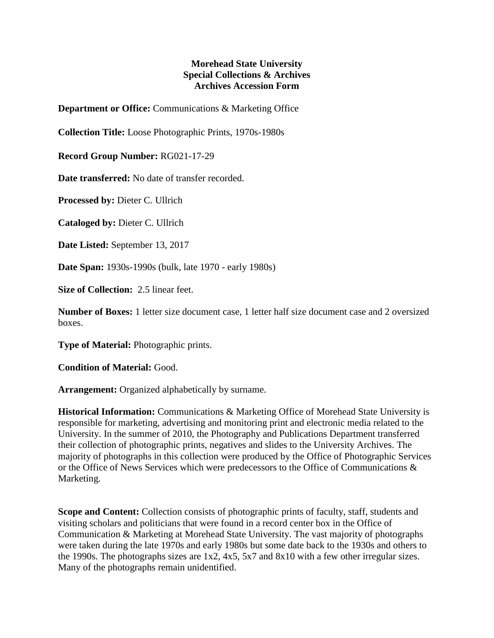## **Morehead State University Special Collections & Archives Archives Accession Form**

**Department or Office:** Communications & Marketing Office

**Collection Title:** Loose Photographic Prints, 1970s-1980s

**Record Group Number:** RG021-17-29

**Date transferred:** No date of transfer recorded.

**Processed by:** Dieter C. Ullrich

**Cataloged by:** Dieter C. Ullrich

**Date Listed:** September 13, 2017

**Date Span:** 1930s-1990s (bulk, late 1970 - early 1980s)

**Size of Collection:** 2.5 linear feet.

**Number of Boxes:** 1 letter size document case, 1 letter half size document case and 2 oversized boxes.

**Type of Material:** Photographic prints.

**Condition of Material:** Good.

**Arrangement:** Organized alphabetically by surname.

**Historical Information:** Communications & Marketing Office of Morehead State University is responsible for marketing, advertising and monitoring print and electronic media related to the University. In the summer of 2010, the Photography and Publications Department transferred their collection of photographic prints, negatives and slides to the University Archives. The majority of photographs in this collection were produced by the Office of Photographic Services or the Office of News Services which were predecessors to the Office of Communications & Marketing.

**Scope and Content:** Collection consists of photographic prints of faculty, staff, students and visiting scholars and politicians that were found in a record center box in the Office of Communication & Marketing at Morehead State University. The vast majority of photographs were taken during the late 1970s and early 1980s but some date back to the 1930s and others to the 1990s. The photographs sizes are 1x2, 4x5, 5x7 and 8x10 with a few other irregular sizes. Many of the photographs remain unidentified.